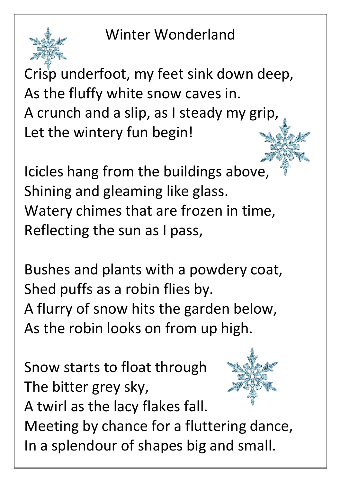Winter Wonderland



Crisp underfoot, my feet sink down deep, As the fluffy white snow caves in. A crunch and a slip, as I steady my grip, Let the wintery fun begin!

Icicles hang from the buildings above, Shining and gleaming like glass. Watery chimes that are frozen in time, Reflecting the sun as I pass,

Bushes and plants with a powdery coat, Shed puffs as a robin flies by. A flurry of snow hits the garden below, As the robin looks on from up high.

Snow starts to float through The bitter grey sky, A twirl as the lacy flakes fall.



Meeting by chance for a fluttering dance, In a splendour of shapes big and small.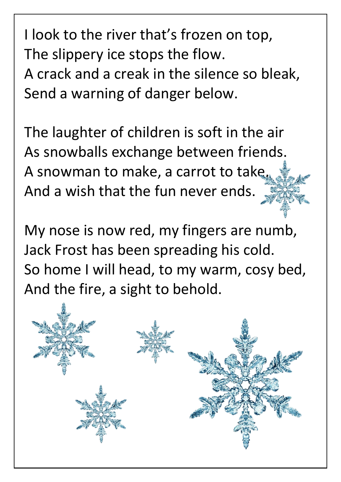I look to the river that's frozen on top, The slippery ice stops the flow. A crack and a creak in the silence so bleak, Send a warning of danger below.

The laughter of children is soft in the air As snowballs exchange between friends. A snowman to make, a carrot to take, And a wish that the fun never ends.

My nose is now red, my fingers are numb, Jack Frost has been spreading his cold. So home I will head, to my warm, cosy bed, And the fire, a sight to behold.

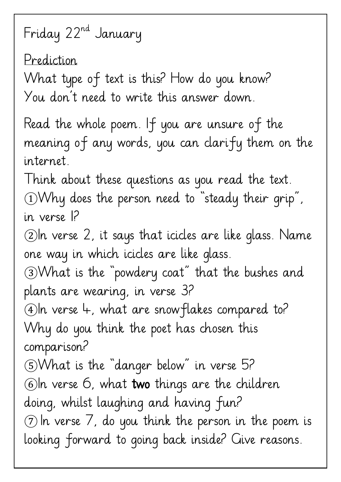## Friday 22nd January

Prediction What type of text is this? How do you know? You don't need to write this answer down. Read the whole poem. If you are unsure of the meaning of any words, you can clarify them on the internet. Think about these questions as you read the text. ①Why does the person need to "steady their grip", in verse 1? ②In verse 2, it says that icicles are like glass. Name one way in which icicles are like glass. ③What is the "powdery coat" that the bushes and plants are wearing, in verse 3? ④In verse 4, what are snowflakes compared to? Why do you think the poet has chosen this comparison? ⑤What is the "danger below" in verse 5? ⑥In verse 6, what two things are the children doing, whilst laughing and having fun?  $\circled{7}$  In verse 7, do you think the person in the poem is looking forward to going back inside? Give reasons.